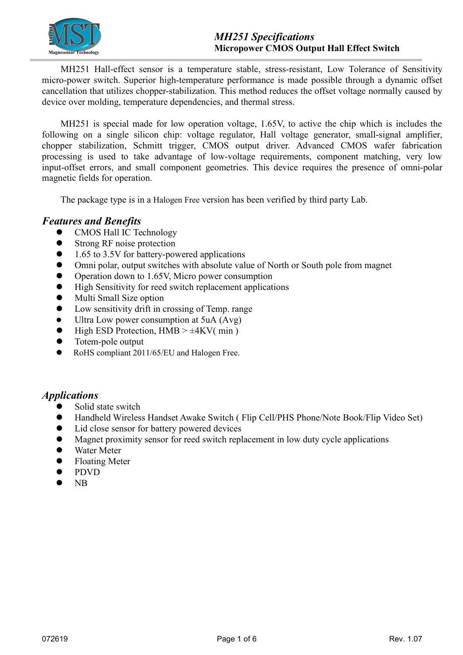

MH251 Hall-effect sensor is a temperature stable, stress-resistant, Low Tolerance of Sensitivity micro-power switch. Superior high-temperature performance is made possible through a dynamic offset cancellation that utilizes chopper-stabilization. This method reduces the offset voltage normally caused by device over molding, temperature dependencies, and thermal stress.

MH251 is special made for low operation voltage,  $1.65V$ , to active the chip which is includes the following on a single silicon chip: voltage regulator, Hall voltage generator, small-signal amplifier, chopper stabilization, Schmitt trigger, CMOS output driver. Advanced CMOS wafer fabrication processing is used to take advantage of low-voltage requirements, component matching, very low input-offset errors, and small component geometries. This device requires the presence of omni-polar magnetic fields for operation.

The package type is in a Halogen Free version has been verified by third party Lab.

### *Features and Benefits*

- CMOS Hall IC Technology
- **Strong RF** noise protection
- 1.65 to 3.5V for battery-powered applications
- Omni polar, output switches with absolute value of North or South pole from magnet
- Operation down to 1.65V, Micro power consumption
- High Sensitivity for reed switch replacement applications
- Multi Small Size option
- Low sensitivity drift in crossing of Temp. range
- Ultra Low power consumption at 5uA (Avg)
- High ESD Protection,  $HMB > \pm 4KV(min)$
- Totem-pole output
- RoHS compliant 2011/65/EU and Halogen Free.

### *Applications*

- Solid state switch
- Handheld Wireless Handset Awake Switch ( Flip Cell/PHS Phone/Note Book/Flip Video Set)
- Lid close sensor for battery powered devices
- Magnet proximity sensor for reed switch replacement in low duty cycle applications
- Water Meter
- Floating Meter
- PDVD
- $\bullet$  NB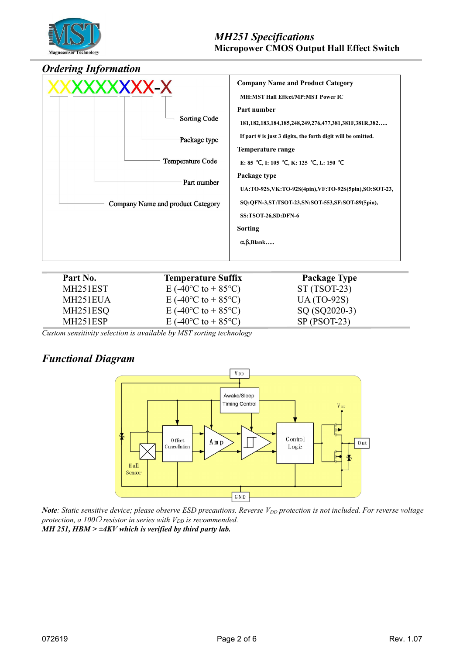

## *Ordering Information*

| XXXXXXXXX-X<br><b>Sorting Code</b><br>Package type<br>Temperature Code<br>Part number<br>Company Name and product Category | <b>Company Name and Product Category</b><br><b>MH:MST Hall Effect/MP:MST Power IC</b><br>Part number<br>181,182,183,184,185,248,249,276,477,381,381F,381R,382<br>If part # is just 3 digits, the forth digit will be omitted.<br>Temperature range<br>E: 85 °C, I: 105 °C, K: 125 °C, L: 150 °C<br>Package type<br>UA:TO-92S, VK:TO-92S(4pin), VF:TO-92S(5pin), SO:SOT-23,<br>SQ:QFN-3,ST:TSOT-23,SN:SOT-553,SF:SOT-89(5pin),<br>SS:TSOT-26,SD:DFN-6<br>Sorting<br>$\alpha$ , $\beta$ , Blank |  |
|----------------------------------------------------------------------------------------------------------------------------|-----------------------------------------------------------------------------------------------------------------------------------------------------------------------------------------------------------------------------------------------------------------------------------------------------------------------------------------------------------------------------------------------------------------------------------------------------------------------------------------------|--|
|                                                                                                                            |                                                                                                                                                                                                                                                                                                                                                                                                                                                                                               |  |

| Part No.              | <b>Temperature Suffix</b>                     | <b>Package Type</b> |
|-----------------------|-----------------------------------------------|---------------------|
| MH251EST              | E (-40 <sup>o</sup> C to + 85 <sup>o</sup> C) | $ST(TSOT-23)$       |
| MH251EUA              | E (-40 <sup>o</sup> C to + 85 <sup>o</sup> C) | $UA(TO-92S)$        |
| MH251ESQ              | E (-40 <sup>o</sup> C to + 85 <sup>o</sup> C) | SQ (SQ2020-3)       |
| MH <sub>251</sub> ESP | E (-40 <sup>o</sup> C to + 85 <sup>o</sup> C) | $SP (PSOT-23)$      |

*Custom sensitivity selection is available by MST sorting technology*

# *Functional Diagram*



Note: Static sensitive device; please observe ESD precautions. Reverse V<sub>DD</sub> protection is not included. For reverse voltage *protection, a 100* $\Omega$  *resistor in series with*  $V_{DD}$  *is recommended. MH 251, HBM > ±4KV which is verified by third party lab.*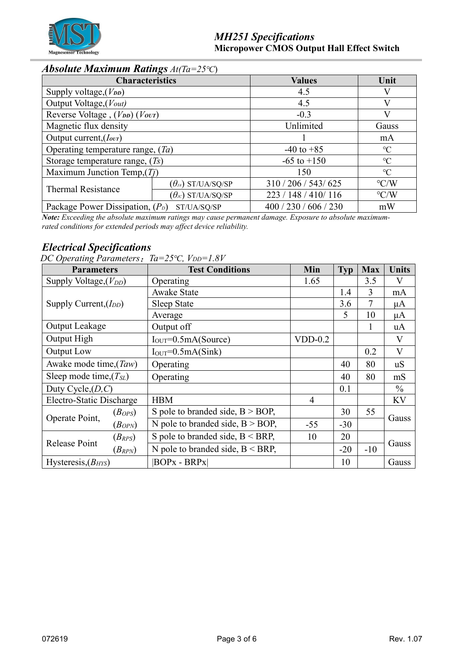

# *Absolute Maximum Ratings At(Ta=25℃*)

| <b>Characteristics</b>                            |                                                   | <b>Values</b>         | Unit               |
|---------------------------------------------------|---------------------------------------------------|-----------------------|--------------------|
| Supply voltage, $(V_{DD})$                        |                                                   | 4.5                   |                    |
| Output Voltage, (Vout)                            |                                                   | 4.5                   |                    |
| Reverse Voltage, $(V_{DD})$ $(V_{OUT})$           |                                                   | $-0.3$                |                    |
| Magnetic flux density                             |                                                   | Unlimited             | Gauss              |
| Output current, $(I_{\text{our}})$                |                                                   |                       | mA                 |
| Operating temperature range, $(Ta)$               |                                                   | $-40$ to $+85$        | $\rm ^{\circ}C$    |
| Storage temperature range, $(Ts)$                 |                                                   | $-65$ to $+150$       | $\rm ^{\circ}C$    |
| Maximum Junction Temp, $(Ti)$                     |                                                   | 150                   | $\rm ^{\circ}C$    |
| <b>Thermal Resistance</b>                         | $(\theta_{\scriptscriptstyle{J\!A}})$ ST/UA/SQ/SP | 310 / 206 / 543 / 625 | $\rm ^{\circ} C/W$ |
|                                                   | $(\theta_{\text{JC}})$ ST/UA/SQ/SP                | 223 / 148 / 410 / 116 | $\rm ^{\circ} C/W$ |
| Package Power Dissipation, $(P_D)$<br>ST/UA/SQ/SP |                                                   | 400 / 230 / 606 / 230 | mW                 |

*Note: Exceeding the absolute maximum ratings may cause permanent damage. Exposure to absolute maximum rated conditions for extended periods may af ect device reliability.*

# *Electrical Specifications*

*DC Operating Parameters*:*Ta=25℃, VDD=1.8V*

| <b>Parameters</b>           |                         | <b>Test Conditions</b>              |                | <b>Typ</b> | <b>Max</b>   | <b>Units</b>  |  |
|-----------------------------|-------------------------|-------------------------------------|----------------|------------|--------------|---------------|--|
| Supply Voltage, $(V_{DD})$  |                         | Operating                           | 1.65           |            | 3.5          | V             |  |
| Supply Current, $(I_{DD})$  |                         | <b>Awake State</b>                  |                | 1.4        | 3            | mA            |  |
|                             |                         | Sleep State                         |                | 3.6        | 7            | μA            |  |
|                             |                         | Average                             |                | 5          | 10           | μA            |  |
| <b>Output Leakage</b>       |                         | Output off                          |                |            | $\mathbf{I}$ | uA            |  |
| Output High                 |                         | $I_{OUT} = 0.5mA(Source)$           | $VDD-0.2$      |            |              | V             |  |
| Output Low                  |                         | $IOUT=0.5mA(Sink)$                  |                |            | 0.2          | V             |  |
| Awake mode time, (Taw)      |                         | Operating                           |                | 40         | 80           | uS            |  |
| Sleep mode time, $(T_{SL})$ |                         | Operating                           |                | 40         | 80           | mS            |  |
| Duty Cycle, $(D, C)$        |                         |                                     |                | 0.1        |              | $\frac{0}{0}$ |  |
| Electro-Static Discharge    |                         | <b>HBM</b>                          | $\overline{4}$ |            |              | KV            |  |
|                             | $(B_{OPS})$             | S pole to branded side, $B > BOP$ , |                | 30         | 55           |               |  |
| Operate Point,              | $\left( B_{OPN}\right)$ | N pole to branded side, $B > BOP$ , | $-55$          | $-30$      |              | Gauss         |  |
| Release Point               | $(B_{RPS})$             | S pole to branded side, $B < BRP$ , | 10             | 20         |              | Gauss         |  |
|                             | $(B_{RPN})$             | N pole to branded side, $B < BRP$ , |                | $-20$      | $-10$        |               |  |
| Hysteresis, $(B_{HYS})$     | $ BOPx - BRPx $         |                                     |                | 10         |              | Gauss         |  |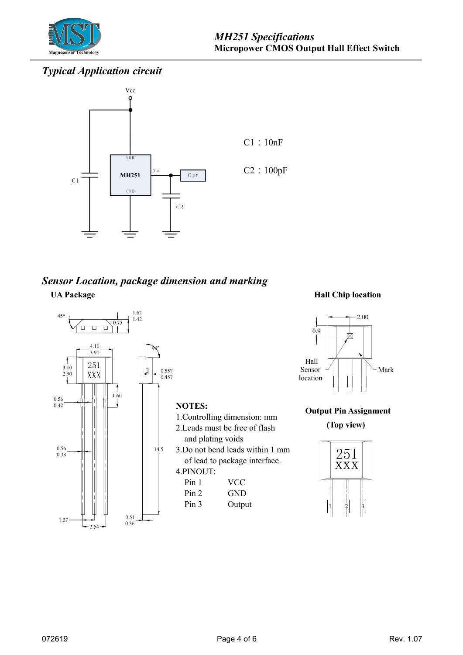

# *Typical Application circuit*



# *Sensor Location, package dimension and marking* **UA Package Hall Chip location**





#### **Output Pin Assignment**

**(Top view)**

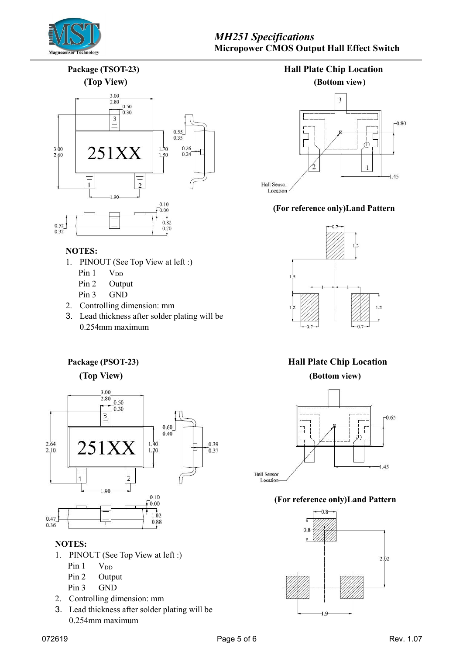

# *MH251 Specifications* **Micropower CMOS Output Hall Effect Switch**

**Package (TSOT-23) Hall Plate Chip Location**



#### **NOTES:**

- 1. PINOUT (See Top View at left :)
	- Pin  $1$  V<sub>DD</sub>
	- Pin 2 Output
	- Pin 3 GND
- 2. Controlling dimension: mm
- 3. Lead thickness after solder plating will be 0.254mm maximum





#### **(For reference only)Land Pattern**



# **Package (PSOT-23) Hall Plate Chip Location**



#### **(For reference only)Land Pattern**



**(Top View) (Bottom view)**



### **NOTES:**

- 1. PINOUT (See Top View at left :)
	- Pin  $1$  V<sub>DD</sub>
	- Pin 2 Output
	- Pin 3 GND
- 2. Controlling dimension: mm
- 3. Lead thickness after solder plating will be 0.254mm maximum